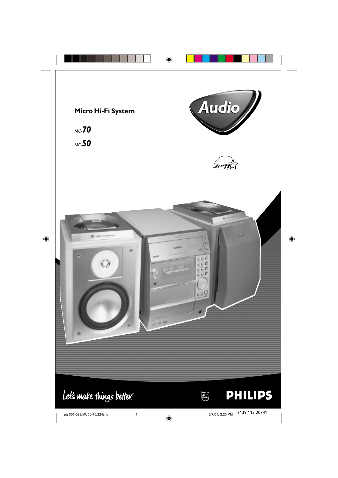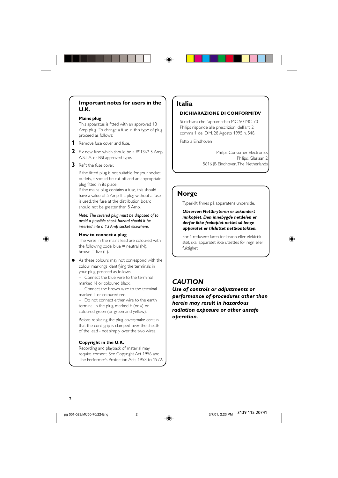#### **Important notes for users in the U.K.**

#### **Mains plug**

This apparatus is fitted with an approved 13 Amp plug. To change a fuse in this type of plug proceed as follows:

- **1** Remove fuse cover and fuse.
- **2** Fix new fuse which should be a BS1362 5 Amp, A.S.T.A. or BSI approved type.
- **3** Refit the fuse cover.

If the fitted plug is not suitable for your socket outlets, it should be cut off and an appropriate plug fitted in its place.

If the mains plug contains a fuse, this should have a value of 5 Amp. If a plug without a fuse is used, the fuse at the distribution board should not be greater than 5 Amp.

*Note: The severed plug must be disposed of to avoid a possible shock hazard should it be inserted into a 13 Amp socket elsewhere.*



The wires in the mains lead are coloured with the following code: blue  $=$  neutral (N), brown  $=$  live (L).

As these colours may not correspond with the colour markings identifying the terminals in your plug, proceed as follows:

– Connect the blue wire to the terminal marked N or coloured black.

– Connect the brown wire to the terminal marked L or coloured red.

– Do not connect either wire to the earth terminal in the plug, marked E (or  $\frac{1}{2}$ ) or coloured green (or green and yellow).

Before replacing the plug cover, make certain that the cord grip is clamped over the sheath of the lead - not simply over the two wires.

#### **Copyright in the U.K.**

Recording and playback of material may require consent. See Copyright Act 1956 and The Performer's Protection Acts 1958 to 1972.

### **Italia**

#### **DICHIARAZIONE DI CONFORMITA'**

Si dichiara che l'apparecchio MC-50, MC-70 Philips risponde alle prescrizioni dell'art. 2 comma 1 del D.M. 28 Agosto 1995 n. 548.

Fatto a Eindhoven

Philips Consumer Electronics Philips, Glaslaan 2 5616 JB Eindhoven, The Netherlands

### **Norge**

Typeskilt finnes på apparatens underside.

*Observer: Nettbryteren er sekundert innkoplet. Den innebygde netdelen er derfor ikke frakoplet nettet så lenge apparatet er tilsluttet nettkontakten.*

For å redusere faren for brann eller elektrisk støt, skal apparatet ikke utsettes for regn eller fuktighet.

### *CAUTION*

*Use of controls or adjustments or performance of procedures other than herein may result in hazardous radiation exposure or other unsafe operation.*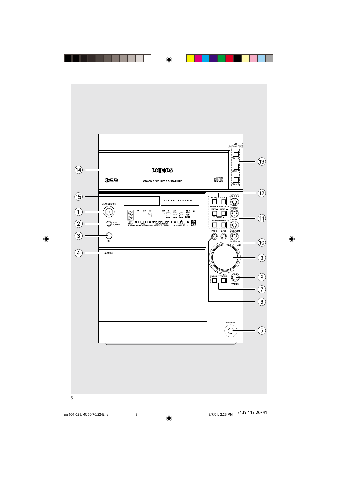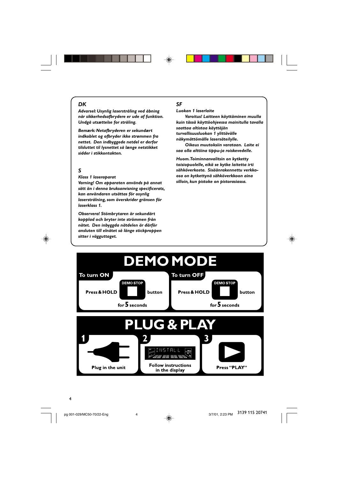#### *DK*

*Advarsel: Usynlig laserstråling ved åbning når sikkerhedsafbrydere er ude af funktion. Undgå utsættelse for stråling.*

*Bemærk: Netafbryderen er sekundært indkoblet og ofbryder ikke strømmen fra nettet. Den indbyggede netdel er derfor tilsluttet til lysnettet så længe netstikket sidder i stikkontakten.*

### *S*

⊕

#### *Klass 1 laseraparat*

*Varning! Om apparaten används på annat sätt än i denna bruksanvisning specificerats, kan användaren utsättas för osynlig laserstrålning, som överskrider gränsen för laserklass 1.*

*Observera! Stömbrytaren är sekundärt kopplad och bryter inte strömmen från nätet. Den inbyggda nätdelen är därför ansluten till elnätet så länge stickproppen sitter i vägguttaget.*

### *SF*

◈

#### *Luokan 1 laserlaite*

*Varoitus! Laitteen käyttäminen muulla kuin tässä käyttöohjeessa mainitulla tavalla saattaa altistaa käyttäjän turvallisuusluokan 1 ylittävälle näkymättömälle lasersäteilylle.*

*Oikeus muutoksiin varataan. Laite ei saa olla alttiina tippu-ja roiskevedelle.*

*Huom. Toiminnanvalitsin on kytketty toisiopuolelle, eikä se kytke laitetta irti sähköverkosta. Sisäänrakennettu verkkoosa on kytkettynä sähköverkkoon aina silloin, kun pistoke on pistorasiassa.*

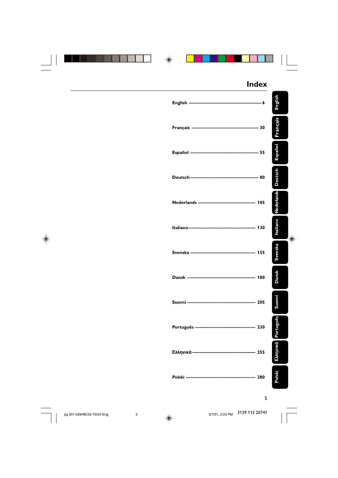|  | <b>Index</b> |                |
|--|--------------|----------------|
|  |              | English        |
|  |              | Français       |
|  |              | Español        |
|  |              | <b>Deutsch</b> |
|  |              | Nederlands     |
|  |              | Italiano<br>⊕  |
|  |              | Svenska        |
|  |              | <b>Dansk</b>   |
|  |              | iomi<br>ğ,     |
|  |              | Português      |
|  |              | Ελληνικά       |
|  |              | Polski         |
|  |              |                |

5

pg 001-029/MC50-70/22-Eng 5 3/7/01, 2:23 PM  $\,$  3/139 115 20741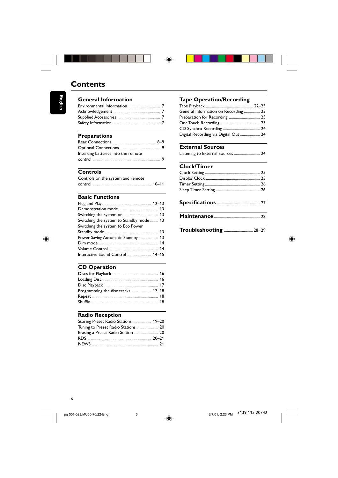



### **Contents**

**English**

⊕

| <b>General Information</b> |  |
|----------------------------|--|
|                            |  |
|                            |  |
|                            |  |
|                            |  |
|                            |  |

### **Preparations**

| Inserting batteries into the remote |  |
|-------------------------------------|--|
|                                     |  |

### **Controls**

| Controls on the system and remote |  |
|-----------------------------------|--|
|                                   |  |

### **Basic Functions**

| Switching the system to Standby mode  13 |  |
|------------------------------------------|--|
| Switching the system to Eco Power        |  |
|                                          |  |
| Power Saving Automatic Standby 13        |  |
|                                          |  |
|                                          |  |
| Interactive Sound Control  14-15         |  |

### **CD Operation**

| Programming the disc tracks  17-18 |  |
|------------------------------------|--|
|                                    |  |
|                                    |  |
|                                    |  |

### **Radio Reception**

| Storing Preset Radio Stations  19-20 |  |
|--------------------------------------|--|
| Tuning to Preset Radio Stations  20  |  |
| Erasing a Preset Radio Station  20   |  |
|                                      |  |
|                                      |  |

### **Tape Operation/Recording**

| General Information on Recording  23  |  |
|---------------------------------------|--|
| Preparation for Recording  23         |  |
|                                       |  |
|                                       |  |
| Digital Recording via Digital Out  24 |  |

| <b>External Sources</b>          |  |
|----------------------------------|--|
| Listening to External Sources 24 |  |

### **Clock/Timer**

| ------------ |  |
|--------------|--|
|              |  |
|              |  |
|              |  |
|              |  |
|              |  |

### **Specifications** ........................................... 27

**Maintenance**.............................................. 28

**Troubleshooting** ............................. 28–29



3/7/01, 2:23 PM 3139 115 20742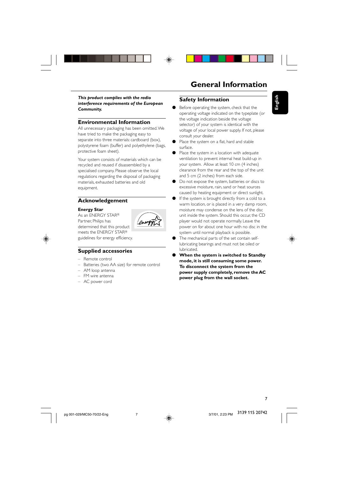



**English**

*This product complies with the radio interference requirements of the European Community.*

#### **Environmental Information**

All unnecessary packaging has been omitted. We have tried to make the packaging easy to separate into three materials: cardboard (box), polystyrene foam (buffer) and polyethylene (bags, protective foam sheet).

Your system consists of materials which can be recycled and reused if disassembled by a specialised company. Please observe the local regulations regarding the disposal of packaging materials, exhausted batteries and old equipment.

#### **Acknowledgement**

#### **Energy Star**

As an ENERGY STAR® Partner, Philips has determined that this product meets the ENERGY STAR®



guidelines for energy efficiency.

#### **Supplied accessories**

- Remote control
- Batteries (two AA size) for remote control
- AM loop antenna
- FM wire antenna
- AC power cord

#### **Safety Information**

- Before operating the system, check that the operating voltage indicated on the typeplate (or the voltage indication beside the voltage selector) of your system is identical with the voltage of your local power supply. If not, please consult your dealer.
- Place the system on a flat, hard and stable surface.
- Place the system in a location with adequate ventilation to prevent internal heat build-up in your system. Allow at least 10 cm (4 inches) clearance from the rear and the top of the unit and 5 cm (2 inches) from each side.
- Do not expose the system, batteries or discs to excessive moisture, rain, sand or heat sources caused by heating equipment or direct sunlight.
- If the system is brought directly from a cold to a warm location, or is placed in a very damp room, moisture may condense on the lens of the disc unit inside the system. Should this occur, the CD player would not operate normally. Leave the power on for about one hour with no disc in the system until normal playback is possible.
- The mechanical parts of the set contain selflubricating bearings and must not be oiled or lubricated.
- **When the system is switched to Standby mode, it is still consuming some power. To disconnect the system from the power supply completely, remove the AC power plug from the wall socket.**

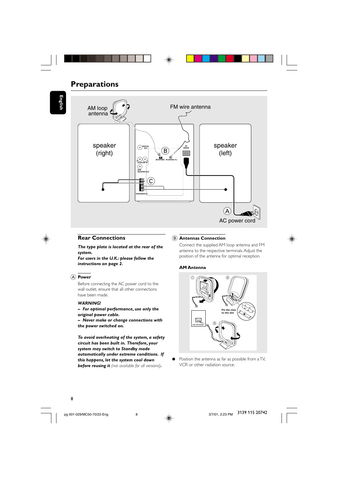## **Preparations**

**English**





#### **Rear Connections**

*The type plate is located at the rear of the system. For users in the U.K.: please follow the*

*instructions on page 2.*

#### A **Power**

Before connecting the AC power cord to the wall outlet, ensure that all other connections have been made.

#### *WARNING!*

*– For optimal performance, use only the original power cable.*

*– Never make or change connections with the power switched on.*

*To avoid overheating of the system, a safety circuit has been built in. Therefore, your system may switch to Standby mode automatically under extreme conditions. If this happens, let the system cool down before reusing it (not available for all versions).*

#### B **Antennas Connection**

Connect the supplied AM loop antenna and FM antenna to the respective terminals. Adjust the position of the antenna for optimal reception.

#### **AM Antenna**



● Position the antenna as far as possible from a TV, VCR or other radiation source.

pg 001-029/MC50-70/22-Eng 3/7/02/01. 2:23 PM 8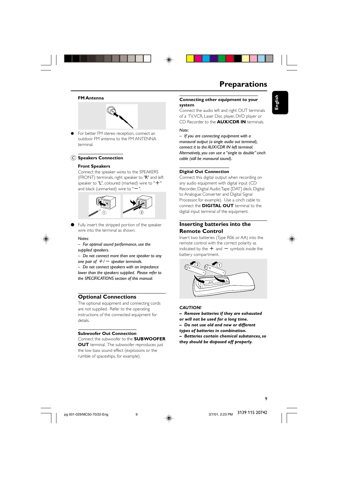

### **Preparations**

**English**

#### **FM Antenna**



For better FM stereo reception, connect an outdoor FM antenna to the FM ANTENNA terminal.

#### C **Speakers Connection**

#### **Front Speakers**

Connect the speaker wires to the SPEAKERS (FRONT) terminals, right speaker to "R" and left speaker to "L", coloured (marked) wire to "+" and black (unmarked) wire to " $-$ 



Fully insert the stripped portion of the speaker wire into the terminal as shown.

#### *Notes:*

*– For optimal sound performance, use the supplied speakers.*

*– Do not connect more than one speaker to any one pair of*  $+/-$  *speaker terminals.* 

*– Do not connect speakers with an impedance lower than the speakers supplied. Please refer to the SPECIFICATIONS section of this manual.*

#### **Optional Connections**

The optional equipment and connecting cords are not supplied. Refer to the operating instructions of the connected equipment for details.

#### **Subwoofer Out Connection**

Connect the subwoofer to the **SUBWOOFER OUT** terminal. The subwoofer reproduces just the low bass sound effect (explosions or the rumble of spaceships, for example).

#### **Connecting other equipment to your system**

Connect the audio left and right OUT terminals of a TV, VCR, Laser Disc player, DVD player or CD Recorder to the **AUX/CDR IN** terminals.

*Note:*

*– If you are connecting equipment with a monaural output (a single audio out terminal), connect it to the AUX/CDR IN left terminal. Alternatively, you can use a "single to double" cinch cable (still be monaural sound).*

#### **Digital Out Connection**

Connect this digital output when recording on any audio equipment with digital input (CD Recorder, Digital Audio Tape [DAT] deck, Digital to Analogue Converter and Digital Signal Processor, for example). Use a cinch cable to connect the **DIGITAL OUT** terminal to the digital input terminal of the equipment.

#### **Inserting batteries into the Remote Control**

Insert two batteries (Type R06 or AA) into the remote control with the correct polarity as indicated by the  $+$  and  $-$  symbols inside the battery compartment.



#### *CAUTION!*

- *Remove batteries if they are exhausted*
- *or will not be used for a long time.*
- *Do not use old and new or different*
- *types of batteries in combination.*
- *Batteries contain chemical substances, so they should be disposed off properly.*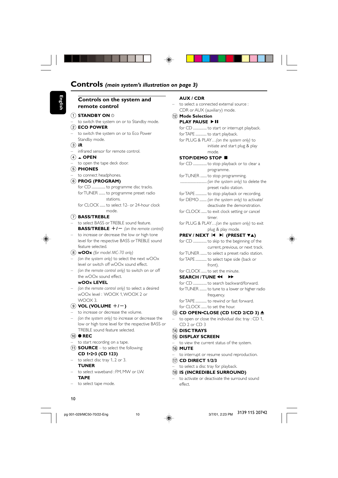| Controls on the system and                                                                 | AUX / CDR                                                                    |
|--------------------------------------------------------------------------------------------|------------------------------------------------------------------------------|
| remote control                                                                             | to select a connected external source :                                      |
| $(1)$ STANDBY ON $\circlearrowright$                                                       | CDR or AUX (auxiliary) mode.                                                 |
| - to switch the system on or to Standby mode.                                              | (12) Mode Selection<br><b>PLAY PAUSE ▶ II</b>                                |
| $(2)$ ECO POWER                                                                            |                                                                              |
| to switch the system on or to Eco Power                                                    | for TAPE  to start playback.                                                 |
| Standby mode.                                                                              | for PLUG & PLAY(on the system only) to                                       |
| $(3)$ iR                                                                                   | initiate and start plug & play                                               |
| infrared sensor for remote control.                                                        | mode.                                                                        |
| $(4)$ $\blacktriangle$ OPEN                                                                | STOP/DEMO STOP ■                                                             |
| - to open the tape deck door.                                                              |                                                                              |
| $(5)$ PHONES                                                                               | programme.                                                                   |
| to connect headphones.                                                                     | for TUNER  to stop programming.                                              |
| 6 PROG (PROGRAM)                                                                           |                                                                              |
| for TUNER  to programme preset radio                                                       | preset radio station.                                                        |
| stations.                                                                                  | for TAPE  to stop playback or recording.                                     |
| for CLOCK  to select 12- or 24-hour clock                                                  | for DEMO  (on the system only) to activate/<br>deactivate the demonstration. |
| mode.                                                                                      | for CLOCK  to exit clock setting or cancel                                   |
| $(7)$ BASS/TREBLE                                                                          | timer.                                                                       |
| to select BASS or TREBLE sound feature.                                                    | for PLUG & PLAY(on the system only) to exit                                  |
| <b>BASS/TREBLE</b> $+1$ – (on the remote control)                                          | plug & play mode.                                                            |
| to increase or decrease the low or high tone                                               | PREV / NEXT I< ▶ (PRESET VA)                                                 |
| level for the respective BASS or TREBLE sound                                              |                                                                              |
| feature selected.                                                                          | current, previous, or next track.                                            |
| $(8)$ wOOx (for model MC-70 only)                                                          | for TUNER  to select a preset radio station.                                 |
| - (on the system only) to select the next $wOOx$<br>level or switch off wOOx sound effect. | for TAPE  to select tape side (back or                                       |
| (on the remote control only) to switch on or off                                           | front).<br>for CLOCK  to set the minute.                                     |
| the wOOx sound effect.                                                                     | SEARCH/TUNE 44                                                               |
| <b>WOOX LEVEL</b>                                                                          | for CD to search backward/forward.                                           |
| (on the remote control only) to select a desired                                           | for TUNER  to tune to a lower or higher radio                                |
| wOOx level: WOOX 1, WOOX 2 or                                                              | trequency.                                                                   |
| WOOX 3.                                                                                    | for TAPE  to rewind or fast forward.                                         |
| (9) <b>VOL (VOLUME</b> $+/-$ )                                                             | for CLOCK  to set the hour.                                                  |
| to increase or decrease the volume.                                                        | $(13)$ CD OPEN•CLOSE (CD 1/CD 2/CD 3) $\triangleq$                           |
| (on the system only) to increase or decrease the                                           | $-$ to open or close the individual disc tray : CD 1,                        |
| low or high tone level for the respective BASS or                                          | CD 2 or CD 3                                                                 |
| TREBLE sound feature selected.                                                             | (14) DISC TRAYS                                                              |
| $(10)$ $\bullet$ REC<br>- to start recording on a tape.                                    | (15) DISPLAY SCREEN                                                          |
| $(1)$ <b>SOURCE</b> – to select the following:                                             | - to view the current status of the system.<br>(16) <b>MUTE</b>              |
| CD 1-2-3 (CD 123)                                                                          | - to interrupt or resume sound reproduction.                                 |
| $-$ to select disc tray 1, 2 or 3.                                                         | $(17)$ CD DIRECT 1/2/3                                                       |
| <b>TUNER</b>                                                                               | - to select a disc tray for playback.                                        |
| - to select waveband : FM, MW or LW.                                                       | (18) IS (INCREDIBLE SURROUND)                                                |
| <b>TAPE</b>                                                                                | - to activate or deactivate the surround sound                               |
| to select tape mode.<br>$\qquad \qquad -$                                                  | effect.                                                                      |

- $\overrightarrow{\bullet}$
- 

pg 001-029/MC50-70/22-Eng 3/7/01, 2:23 PM 10

10

 $\equiv$ 

3/7/01, 2:23 PM 3139 115 20742

 $\sqrt{\overline{\phantom{a}}\phantom{a}}$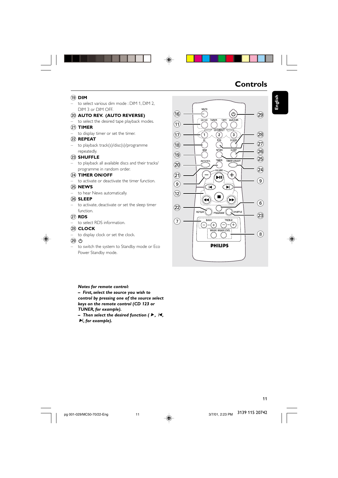### **Controls**

### ( **DIM**

– to select various dim mode : DIM 1, DIM 2, DIM 3 or DIM OFF.

◈

#### ) **AUTO REV. (AUTO REVERSE)**

to select the desired tape playback modes. ¡ **TIMER**

to display timer or set the timer.

### ™ **REPEAT**

– to playback track(s)/disc(s)/programme repeatedly.

#### 23 **SHUFFLE**

– to playback all available discs and their tracks/ programme in random order.

#### ≤ **TIMER ON/OFF**

to activate or deactivate the timer function.

#### ∞ **NEWS**

– to hear News automatically.

#### § **SLEEP**

– to activate, deactivate or set the sleep timer function.

#### ≥ **RDS**

to select RDS information.

#### • **CLOCK**

to display clock or set the clock.

#### $(29)$  ტ

– to switch the system to Standby mode or Eco Power Standby mode.

#### *Notes for remote control:*

*– First, select the source you wish to control by pressing one of the source select keys on the remote control (CD 123 or*

*TUNER, for example).*

*–* Then select the desired function (▶, /**4**,  $\blacktriangleright$ *l*, for example).



3139 115 20742

11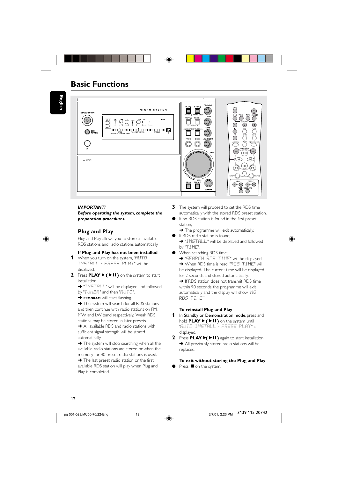**English**



#### *IMPORTANT!*

*Before operating the system, complete the preparation procedures.*

### **Plug and Play**

Plug and Play allows you to store all available RDS stations and radio stations automatically.

#### **If Plug and Play has not been installed**

- **1** When you turn on the system, "AUTO INSTALL - PRESS PLAY" will be displayed.
- **2** Press **PLAY**É**(**ÉÅ**)** on the system to start installation.
	- ➜ "INSTALL" will be displayed and followed
	- by "TUNER" and then "HUTO".
	- **→ PROGRAM** will start flashing.

→ The system will search for all RDS stations and then continue with radio stations on FM, MW and LW band respectively. Weak RDS stations may be stored in later presets.

**→** All available RDS and radio stations with sufficient signal strength will be stored automatically.

**→** The system will stop searching when all the available radio stations are stored or when the memory for 40 preset radio stations is used. → The last preset radio station or the first available RDS station will play when Plug and Play is completed.

- **3** The system will proceed to set the RDS time automatically with the stored RDS preset station.
- If no RDS station is found in the first preset station;

➜ The programme will exit automatically. If RDS radio station is found;

- → "INSTALL" will be displayed and followed by "TIME".
- When searching RDS time;
	- **→ "SEARCH RDS TIME" will be displayed.**

→ When RDS time is read, "RD5 TIME" will be displayed. The current time will be displayed for 2 seconds and stored automatically.

**→** If RDS station does not transmit RDS time within 90 seconds, the programme will exit automatically and the display will show "NO RDS TIME".

#### **To reinstall Plug and Play**

- **1** In Standby or Demonstration mode, press and hold **PLAY**É**(**ÉÅ**)** on the system until "AUTO INSTALL - PRESS PLAY" is displayed.
- **2** Press **PLAY**É**(**ÉÅ**)** again to start installation. **→** All previously stored radio stations will be replaced.

**To exit without storing the Plug and Play** Press **O** on the system.



pg 001-029/MC50-70/22-Eng 3/7/02/12 PM 12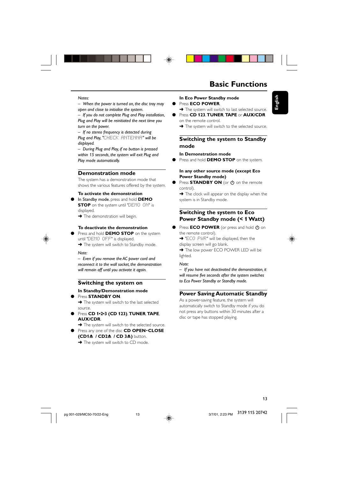

#### *Notes:*

*– When the power is turned on, the disc tray may open and close to initialise the system.*

*– If you do not complete Plug and Play installation, Plug and Play will be reinitiated the next time you turn on the power.*

*– If no stereo frequency is detected during Plug and Play, "*CHECK ANTENNA*" will be displayed.*

*– During Plug and Play, if no button is pressed within 15 seconds, the system will exit Plug and Play mode automatically.*

#### **Demonstration mode**

The system has a demonstration mode that shows the various features offered by the system.

#### **To activate the demonstration**

In Standby mode, press and hold DEMO **STOP** on the system until "DEMO ON" is displayed.

→ The demonstration will begin.

#### **To deactivate the demonstration**

Press and hold **DEMO STOP** on the system until "DEMO OFF" is displayed.

→ The system will switch to Standby mode.

#### *Note:*

*– Even if you remove the AC power cord and reconnect it to the wall socket, the demonstration will remain off until you activate it again.*

#### **Switching the system on In Standby/Demonstration mode**

#### Press **STANDBY ON.**

→ The system will switch to the last selected source.

- Press **CD 1•2•3 (CD 123)**, **TUNER**, **TAPE**, **AUX/CDR**.
- → The system will switch to the selected source. ● Press any one of the disc **CD OPEN**•**CLOSE**
	- **(CD1**0 **/ CD2**0 **/ CD 3**0**)** button.
	- → The system will switch to CD mode.

#### **In Eco Power Standby mode** Press **ECO POWER**.

- → The system will switch to last selected source. Press **CD 123, TUNER, TAPE** or **AUX/CDR**
- on the remote control.

→ The system will switch to the selected source.

#### **Switching the system to Standby mode**

#### **In Demonstration mode**

Press and hold **DEMO STOP** on the system.

#### **In any other source mode (except Eco Power Standby mode)**

● Press **STANDBY ON** (or  $\bigcirc$  on the remote control).

**→** The clock will appear on the display when the system is in Standby mode.

#### **Switching the system to Eco Power Standby mode (< 1 Watt)**

● Press **ECO POWER** (or press and hold  $\Phi$  on the remote control).

→ "ECO PWR" will be displayed, then the display screen will go blank.

→ The low power ECO POWER LED will be lighted.

#### *Note:*

*– If you have not deactivated the demonstration, it will resume five seconds after the system switches to Eco Power Standby or Standby mode.*

#### **Power Saving Automatic Standby**

As a power-saving feature, the system will automatically switch to Standby mode if you do not press any buttons within 30 minutes after a disc or tape has stopped playing.

**English**

pg 001-029/MC50-70/22-Eng 3/7/01



3139 115 20742

13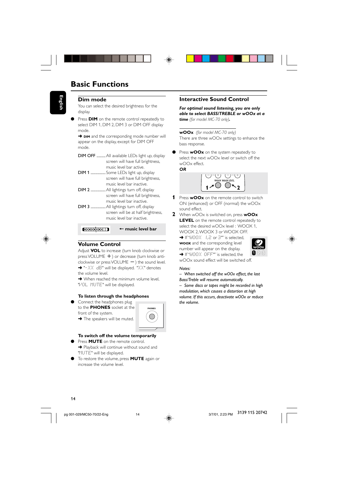# **English**

#### **Dim mode**

You can select the desired brightness for the display.

**•** Press **DIM** on the remote control repeatedly to select DIM 1, DIM 2, DIM 3 or DIM OFF display mode.

**→ DIM** and the corresponding mode number will appear on the display, except for DIM OFF mode.

- DIM OFF ......... All available LEDs light up, display screen will have full brightness, music level bar active.
- DIM 1 ............... Some LEDs light up, display screen will have full brightness, music level bar inactive.
- DIM 2 ...............All lightings turn off, display screen will have full brightness, music level bar inactive. DIM 3 ................ All lightings turn off, display
- screen will be at half brightness, music level bar inactive.

#### + **music level bar**

#### **Volume Control**

Adjust **VOL** to increase (turn knob clockwise or press VOLUME +) or decrease (turn knob anti $clockwise$  or press VOLUME  $-$  ) the sound level. → "-XX dB" will be displayed. "XX" denotes the volume level.

**→** When reached the minimum volume level. "VOL MUTE" will be displayed.

#### **To listen through the headphones**

Connect the headphones plug to the **PHONES** socket at the front of the system.

→ The speakers will be muted.

### **To switch off the volume temporarily**

- Press **MUTE** on the remote control. **→** Playback will continue without sound and "MUTE" will be displayed.
- To restore the volume, press **MUTE** again or increase the volume level.

#### **Interactive Sound Control**

*For optimal sound listening, you are only able to select BASS/TREBLE or wOOx at a time (for model MC-70 only).*

**wOOx** *(for model MC-70 only)*

There are three wOOx settings to enhance the bass response.

Press **wOOx** on the system repeatedly to select the next wOOx level or switch off the wOOx effect. *OR*

 $-1$  +  $-1$  +  $-1$  +  $+1$  $1^{\mathcal{J}}$ <sup>=</sup>**2**

- **1** Press **wOOx** on the remote control to switch ON (enhanced) or OFF (normal) the wOOx sound effect.
- **2** When wOOx is switched on, press **wOOx LEVEL** on the remote control repeatedly to select the desired wOOx level : WOOX 1, WOOX 2, WOOX 3 or WOOX OFF.

→ If "WOOX 1,2 or 3"" is selected, **WOOX** and the corresponding level number will appear on the display.

→ If "WOOX OFF"" is selected, the wOOx sound effect will be switched off.

#### *Notes:*

*– When switched off the wOOx effect, the last*

*Bass/Treble will resume automatically. – Some discs or tapes might be recorded in high*

*modulation, which causes a distortion at high volume. If this occurs, deactivate wOOx or reduce the volume.*



### 14

pg 001-029/MC50-70/22-Eng 3/7/01

**PHONES**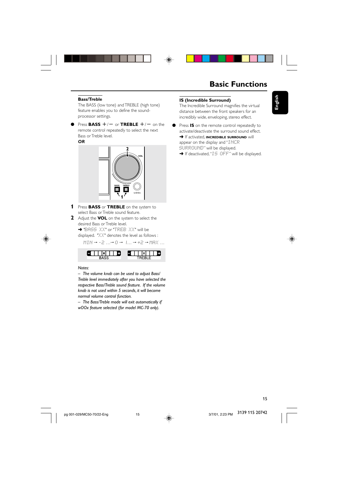

#### **Bass/Treble**

The BASS (low tone) and TREBLE (high tone) feature enables you to define the soundprocessor settings.

Press **BASS**  $+/-$  or **TREBLE**  $+/-$  on the remote control repeatedly to select the next Bass or Treble level.

*OR*



- **1** Press **BASS** or **TREBLE** on the system to select Bass or Treble sound feature.
- **2** Adjust the **VOL** on the system to select the desired Bass or Treble level. ➜ "BASS XX" or "TREB XX" will be

displayed. "XX" denotes the level as follows :  $MIN \rightarrow -2 ... \rightarrow 0 \rightarrow 1 ... \rightarrow +2 \rightarrow MIN ...$ 



#### *Notes:*

*– The volume knob can be used to adjust Bass/ Treble level immediately after you have selected the respective Bass/Treble sound feature. If the volume knob is not used within 5 seconds, it will become normal volume control function.*

*– The Bass/Treble mode will exit automatically if wOOx feature selected (for model MC-70 only).*

#### **IS (Incredible Surround)**

The Incredible Surround magnifies the virtual distance between the front speakers for an incredibly wide, enveloping, stereo effect.

● Press **IS** on the remote control repeatedly to activate/deactivate the surround sound effect. **→** If activated, **INCREDIBLE SURROUND** will appear on the display and "INCR SURROUND" will be displayed.

→ If deactivated, "IS OFF" will be displayed.



**English**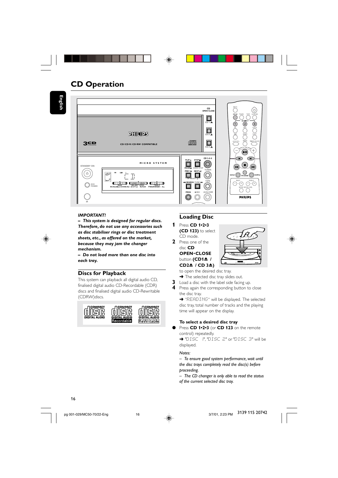

### **CD Operation**

**English**



#### *IMPORTANT!*

*– This system is designed for regular discs. Therefore, do not use any accessories such as disc stabiliser rings or disc treatment sheets, etc., as offered on the market, because they may jam the changer mechanism.*

*– Do not load more than one disc into each tray.*

#### **Discs for Playback**

This system can playback all digital audio CD, finalised digital audio CD-Recordable (CDR) discs and finalised digital audio CD-Rewritable (CDRW)discs.



### **Loading Disc**

- **1** Press **CD 1•2•3 (CD 123)** to select CD mode.
- **2** Press one of the disc **CD OPEN**•**CLOSE button (CD1<sup>4</sup> / CD2≜** / **CD 3≜**)



to open the desired disc tray.

- → The selected disc tray slides out.
- **3** Load a disc with the label side facing up.
- **4** Press again the corresponding button to close the disc tray.

→ "READING" will be displayed. The selected disc tray, total number of tracks and the playing time will appear on the display.

#### **To select a desired disc tray**

Press CD 1•2•3 (or CD 123 on the remote control) repeatedly.

→ "DISC | I", "DISC 2" or "DISC 3" will be displayed.

#### *Notes:*

*– To ensure good system performance, wait until the disc trays completely read the disc(s) before proceeding.*

*– The CD changer is only able to read the status of the current selected disc tray.*

### 16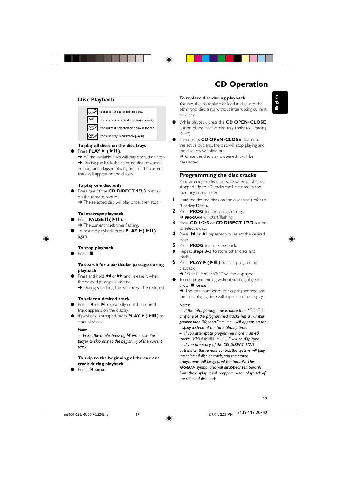### **CD Operation**

### **Disc Playback**



#### **To play all discs on the disc trays**

Press **PLAY** $\blacktriangleright$  ( $\blacktriangleright$ **II**).

→ All the available discs will play once, then stop. → During playback, the selected disc tray, track number and elapsed playing time of the current track will appear on the display.

#### **To play one disc only**

- Press one of the **CD DIRECT 1/2/3** buttons on the remote control.
	- → The selected disc will play once, then stop.

#### **To interrupt playback** Press **PAUSE<sup>II</sup>**( $\blacktriangleright$ II).

- **→** The current track time flashing.
- To resume playback, press **PLAY**É**(**ÉÅ**)** again.

#### **To stop playback**

Press **D** 

#### **To search for a particular passage during playback**

Press and hold  $\blacktriangleleft$  or  $\blacktriangleright$  and release it when the desired passage is located. → During searching, the volume will be reduced.

#### **To select a desired track**

- Press  $\blacksquare$  or  $\blacktriangleright$  repeatedly until the desired track appears on the display.
- If playback is stopped, press **PLAY**É**(**ÉÅ**)** to start playback.

#### *Note:*

*– In Shuffle mode, pressing*í *will cause the player to skip only to the beginning of the current track.*

#### **To skip to the beginning of the current track during playback**

Press **i<br/>
I once**.

### **To replace disc during playback**

You are able to replace or load in disc into the other two disc trays without interrupting current playback.

- While playback, press the **CD OPEN**•**CLOSE** button of the inactive disc tray (refer to "Loading Disc").
- If you press **CD OPEN**•**CLOSE** button of the active disc tray, the disc will stop playing and the disc tray will slide out.

**→** Once the disc tray is opened, it will be deselected.

#### **Programming the disc tracks**

Programming tracks is possible when playback is stopped. Up to 40 tracks can be stored in the memory in any order.

- **1** Load the desired discs on the disc trays (refer to "Loading Disc").
- **2** Press **PROG** to start programming. **→ PROGRAM** will start flashing
- **3** Press **CD 1•2•3** or **CD DIRECT 1/2/3** button to select a disc.
- **4** Press **i**<■ or ▶ repeatedly to select the desired track.
- **5** Press **PROG** to store the track.
- Repeat **steps 3–5** to store other discs and tracks.
- **6** Press **PLAY**É**(**ÉÅ**)** to start programme playback.

→ "PLAY PROGRAM" will be displayed.

● To end programming without starting playback, press **D** once.

→ The total number of tracks programmed and the total playing time will appear on the display.

#### *Notes:*

*– If the total playing time is more than "*99:59*" or if one of the programmed tracks has a number greater than 30, then "*--:--*" will appear on the display instead of the total playing time.*

*– If you attempt to programme more than 40 tracks, "*PROGRAM FULL*" will be displayed. – If you press any of the CD DIRECT 1/2/3 buttons on the remote control, the system will play the selected disc or track, and the stored programme will be ignored temporarily. The PROGRAM symbol also will disappear temporarily from the display. It will reappear when playback of the selected disc ends.*





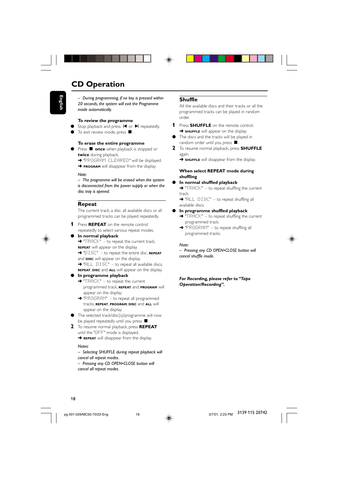### **CD Operation**

*– During programming, if no key is pressed within 20 seconds, the system will exit the Programme mode automatically.*

#### **To review the programme**

- Stop playback and press  $\blacktriangleright$  or  $\blacktriangleright$  repeatedly.
- To exit review mode, press  $\blacksquare$ .

#### **To erase the entire programme**

- Press **once** when playback is stopped or **twice** during playback.
	- → "PROGRAM CLEARED" will be displayed.
	- **→ PROGRAM** will disappear from the display.

#### *Note:*

*– The programme will be erased when the system is disconnected from the power supply or when the disc tray is opened.*

#### **Repeat**

The current track, a disc, all available discs or all programmed tracks can be played repeatedly.

- **1** Press **REPEAT** on the remote control repeatedly to select various repeat modes.
- **In normal playback**

 $\rightarrow$  "TRACK" – to repeat the current track, **REPEAT** will appear on the display.

➜ "DISC" – to repeat the entire disc, **REPEAT** and **DISC** will appear on the display.

→ "FILL DISC" – to repeat all available discs, **REPEAT**, **DISC** and **ALL** will appear on the display.

#### ● **In programme playback**

- → "TRACK" to repeat the current programmed track, **REPEAT** and **PROGRAM** will appear on the display.
- ➜ "PROGRAM" to repeat all programmed tracks, **REPEAT**, **PROGRAM**, **DISC** and **ALL** will appear on the display.
- The selected track/disc(s)/programme will now be played repeatedly until you press  $\blacksquare$ .
- **2** To resume normal playback, press **REPEAT** until the "OFF" mode is displayed.

#### **→ REPEAT** will disappear from the display. *Notes:*

- *Selecting SHUFFLE during repeat playback will cancel all repeat modes.*
- *Pressing any CD OPEN•CLOSE button will cancel all repeat modes.*

#### **Shuffle**

All the available discs and their tracks or all the programmed tracks can be played in random order.

- **1** Press **SHUFFLE** on the remote control. **→ SHUFFLE** will appear on the display.
- The discs and the tracks will be played in random order until you press  $\blacksquare$ .
- **2** To resume normal playback, press **SHUFFLE** again.
	- **→ SHUFFLE** will disappear from the display.

#### **When select REPEAT mode during shuffling**

#### ● **In normal shuffled playback**

➜ "TRACK" – to repeat shuffling the current track.

→ "ALL DISC" – to repeat shuffling all available discs.

- **In programme shuffled playback**
	- $\rightarrow$  "TRACK" to repeat shuffling the current programmed track.
	- → "PROGRAM" to repeat shuffling all programmed tracks.

#### *Note:*

*– Pressing any CD OPEN•CLOSE button will cancel shuffle mode.*

*For Recording, please refer to "Tape Operation/Recording".*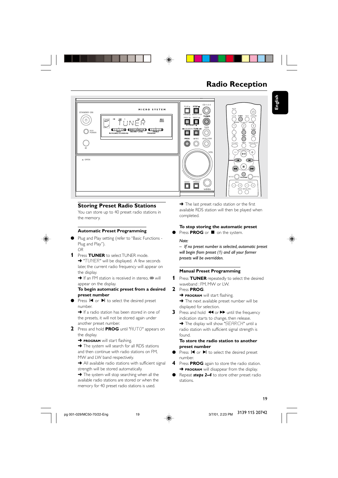

### **Radio Reception**



#### **Storing Preset Radio Stations**

You can store up to 40 preset radio stations in the memory.

#### **Automatic Preset Programming**

- Plug and Play setting (refer to "Basic Functions -Plug and Play"). *OR*
- **1** Press **TUNER** to select TUNER mode. → "TUNER" will be displayed. A few seconds later, the current radio frequency will appear on the display.

 $\rightarrow$  If an FM station is received in stereo,  $\infty$  will appear on the display.

#### **To begin automatic preset from a desired preset number**

Press  $\blacktriangleright$  or  $\blacktriangleright$  to select the desired preset number.

→ If a radio station has been stored in one of the presets, it will not be stored again under another preset number.

- **2** Press and hold **PROG** until "FIUTO" appears on the display.
	- **→ PROGRAM** will start flashing.

 $\rightarrow$  The system will search for all RDS stations and then continue with radio stations on FM, MW and LW band respectively.

**→** All available radio stations with sufficient signal strength will be stored automatically.

→ The system will stop searching when all the available radio stations are stored or when the memory for 40 preset radio stations is used.

➜ The last preset radio station or the first available RDS station will then be played when completed.

#### **To stop storing the automatic preset**

Press **PROG** or  $\blacksquare$  on the system.

*Note:*

found.

*– If no preset number is selected, automatic preset will begin from preset (1) and all your former presets will be overridden.*

#### **Manual Preset Programming**

- **1** Press **TUNER** repeatedly to select the desired waveband : FM, MW or LW.
- **2** Press **PROG**. **→ PROGRAM** will start flashing. **→** The next available preset number will be
- displayed for selection. **3** Press and hold  $\blacktriangleleft$  or  $\blacktriangleright$  until the frequency indication starts to change, then release. → The display will show "SEARCH" until a radio station with sufficient signal strength is

#### **To store the radio station to another preset number**

- Press  $\blacksquare$  or  $\blacksquare$  to select the desired preset number.
- **4** Press **PROG** again to store the radio station. **→ PROGRAM** will disappear from the display.
- Repeat *steps* 2–4 to store other preset radio stations.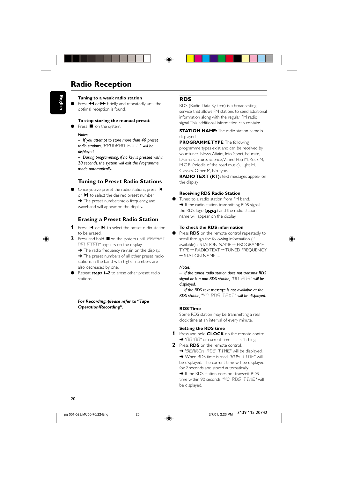## **Radio Reception**

**English**

#### **Tuning to a weak radio station**

Press  $\overline{\mathbf{4}}$  or  $\blacktriangleright$  briefly and repeatedly until the optimal reception is found.

#### **To stop storing the manual preset**

Press **O** on the system.

#### *Notes:*

*– If you attempt to store more than 40 preset radio stations, "*PROGRAM FULL*" will be displayed.*

*– During programming, if no key is pressed within 20 seconds, the system will exit the Programme mode automatically.*

#### **Tuning to Preset Radio Stations**

Once you've preset the radio stations, press  $\blacktriangleright$ or  $\blacktriangleright$  to select the desired preset number. **→** The preset number, radio frequency, and waveband will appear on the display.

#### **Erasing a Preset Radio Station**

- **1** Press  $\blacksquare$  or  $\blacksquare$  to select the preset radio station to be erased.
- **2** Press and hold on the system until "PRESET DELETED" appears on the display.
	- → The radio frequency remain on the display.

→ The preset numbers of all other preset radio stations in the band with higher numbers are also decreased by one.

Repeat **steps 1–2** to erase other preset radio stations.

*For Recording, please refer to "Tape Operation/Recording".*

### **RDS**

RDS (Radio Data System) is a broadcasting service that allows FM stations to send additional information along with the regular FM radio signal. This additional information can contain:

#### **STATION NAME:** The radio station name is displayed.

**PROGRAMME TYPE**: The following programme types exist and can be received by your tuner: News, Affairs, Info, Sport, Educate, Drama, Culture, Science, Varied, Pop M, Rock M, M.O.R. (middle of the road music), Light M, Classics, Other M, No type.

**RADIO TEXT (RT):** text messages appear on the display.

#### **Receiving RDS Radio Station**

Tuned to a radio station from FM band. → If the radio station transmitting RDS signal, the RDS logo  $(\mathbf{R} \cdot \mathbf{D} \cdot \mathbf{S})$  and the radio station name will appear on the display.

#### **To check the RDS information**

Press **RDS** on the remote control repeatedly to scroll through the following information (if available) : STATION NAME → PROGRAMME TYPE → RADIO TEXT → TUNED FREQUENCY  $\rightarrow$  STATION NAME ....

#### *Notes:*

*– If the tuned radio station does not transmit RDS signal or is a non RDS station, "*NO RDS*" will be displayed.*

*– If the RDS text message is not available at the RDS station, "*NO RDS TEXT*" will be displayed.*

#### **RDS Time**

Some RDS station may be transmitting a real clock time at an interval of every minute.

#### **Setting the RDS time**

**1** Press and hold **CLOCK** on the remote control. → "00:00" or current time starts flashing.

- **2** Press **RDS** on the remote control.
	- → "SEARCH RDS TIME" will be displayed.
	- → When RDS time is read, "RDS TIME" will be displayed. The current time will be displayed
	- for 2 seconds and stored automatically.

→ If the RDS station does not transmit RDS time within 90 seconds, "NO\_RD5\_TIME" will be displayed.



20

pg 001-029/MC50-70/22-Eng 3/7/01, 2:23 PM 20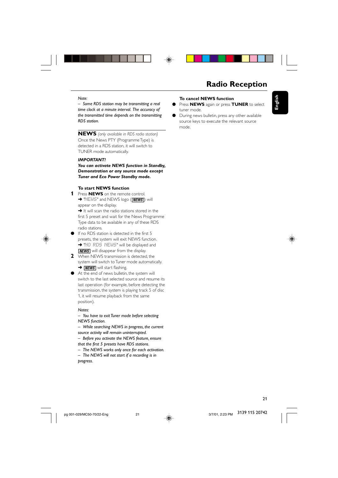

### **Radio Reception**

#### *Note:*

*– Some RDS station may be transmitting a real time clock at a minute interval. The accuracy of the transmitted time depends on the transmitting RDS station.*

**NEWS** *(only available in RDS radio station)* Once the News PTY (Programme Type) is detected in a RDS station, it will switch to TUNER mode automatically.

#### *IMPORTANT!*

*You can activate NEWS function in Standby, Demonstration or any source mode except Tuner and Eco Power Standby mode.*

#### **To start NEWS function**

**1** Press **NEWS** on the remote control. **→ "HEWS" and NEWS logo (***MEWS*) will appear on the display.

→ It will scan the radio stations stored in the first 5 preset and wait for the News Programme Type data to be available in any of these RDS radio stations.



- If no RDS station is detected in the first 5 presets, the system will exit NEWS function. → "NO RDS NEWS" will be displayed and **NEWS** will disappear from the display.
- **2** When NEWS transmission is detected, the system will switch to Tuner mode automatically. **→** *NEWS* will start flashing.
- At the end of news bulletin, the system will switch to the last selected source and resume its last operation (for example, before detecting the transmission, the system is playing track 5 of disc 1, it will resume playback from the same position).

#### *Notes:*

*– You have to exit Tuner mode before selecting NEWS function.*

*– While searching NEWS in progress, the current source activity will remain uninterrupted.*

- *Before you activate the NEWS feature, ensure that the first 5 presets have RDS stations.*
- *The NEWS works only once for each activation.*
- *The NEWS will not start if a recording is in progress.*

### **To cancel NEWS function**

- Press **NEWS** again or press **TUNER** to select tuner mode.
- During news bulletin, press any other available source keys to execute the relevant source mode.



**English**

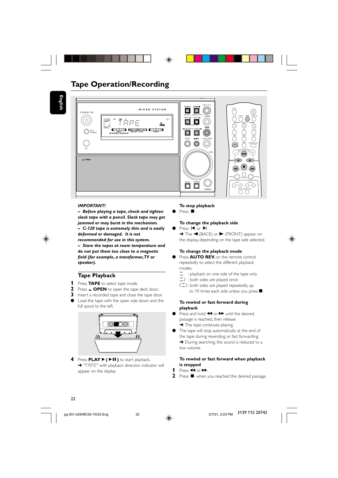

### **Tape Operation/Recording**

**English**



#### *IMPORTANT!*

*– Before playing a tape, check and tighten slack tape with a pencil. Slack tape may get jammed or may burst in the mechanism. – C-120 tape is extremely thin and is easily*

*deformed or damaged. It is not recommended for use in this system.*

*– Store the tapes at room temperature and do not put them too close to a magnetic field (for example, a transformer, TV or speaker).*

### **Tape Playback**

- **1** Press **TAPE** to select tape mode.
- **2** Press  $\triangle$  **OPEN** to open the tape deck door.
- **3** Insert a recorded tape and close the tape door.
- Load the tape with the open side down and the full spool to the left.



**4** Press **PLAY** ▶ (▶II) to start playback. → "TAPE" with playback direction indicator will appear on the display.

#### **To stop playback**

 $\bullet$  Press  $\blacksquare$ .

#### **To change the playback side** Press **i** or  $\blacktriangleright$  *i.*

 $\rightarrow$  The  $\blacktriangleleft$  (BACK) or  $\blacktriangleright$  (FRONT) appear on the display, depending on the tape side selected.

#### **To change the playback mode**

- Press **AUTO REV.** on the remote control repeatedly to select the different playback modes.
	- å : playback on one side of the tape only.
- ∂ : both sides are played once. ∫: both sides are played repeatedly, up
- to 10 times each side unless you press  $\blacksquare$ .

#### **To rewind or fast forward during playback**

- Press and hold <<<<a>A or<br/>>>b until the desired passage is reached, then release.  $\rightarrow$  The tape continues playing.
- The tape will stop automatically at the end of the tape during rewinding or fast forwarding. → During searching, the sound is reduced to a low volume.

#### **To rewind or fast forward when playback is stopped**

- 1 Press  $\overline{4}$  or  $\overline{P}$ .
- **2** Press **v** when you reached the desired passage.

### 22

pg 001-029/MC50-70/22-Eng 3/2<br>
and 22 PM 22 PM 2011, 2012, 2014, 2014, 2014, 2014, 2014, 2014, 2014, 2014, 2014, 2014, 2014, 2014, 2014, 201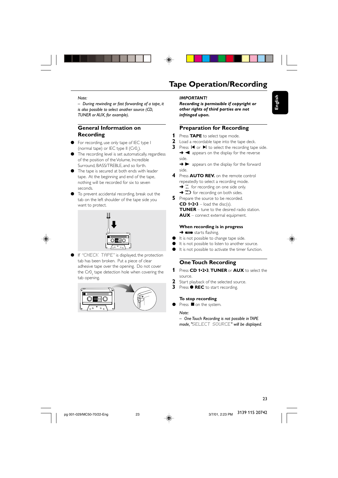

### **Tape Operation/Recording**

#### *Note:*

*– During rewinding or fast forwarding of a tape, it is also possible to select another source (CD, TUNER or AUX, for example).*

### **General Information on Recording**

- For recording, use only tape of IEC type I (normal tape) or IEC type II  $(CrO<sub>2</sub>)$ .
- The recording level is set automatically, regardless of the position of the Volume, Incredible Surround, BASS/TREBLE, and so forth.
- The tape is secured at both ends with leader tape. At the beginning and end of the tape, nothing will be recorded for six to seven seconds.
- To prevent accidental recording, break out the tab on the left shoulder of the tape side you want to protect.



If "CHECK TAPE" is displayed, the protection tab has been broken. Put a piece of clear adhesive tape over the opening. Do not cover the Cr0 $_{\textrm{\tiny{2}}}$  tape detection hole when covering the tab opening.



#### *IMPORTANT!*

*Recording is permissible if copyright or other rights of third parties are not infringed upon.*

#### **Preparation for Recording**

- **1** Press **TAPE** to select tape mode.
- **2** Load a recordable tape into the tape deck.
- **3** Press  $\blacksquare$  or  $\blacksquare$  to select the recording tape side.  $\rightarrow \blacktriangleleft$  appears on the display for the reverse
	- side.
	- → ▶ appears on the display for the forward side.
- **4** Press **AUTO REV.** on the remote control repeatedly to select a recording mode.  $\rightarrow$   $\overline{\phantom{a}}$  for recording on one side only. → **<2** for recording on both sides.
- **5** Prepare the source to be recorded. **CD 1•2•3** – load the disc(s). **TUNER** – tune to the desired radio station. **AUX** – connect external equipment.

### **When recording is in progress**

- $\rightarrow$   $\equiv$  starts flashing.
- It is not possible to change tape side.
- It is not possible to listen to another source.
- It is not possible to activate the timer function.

#### **One Touch Recording**

- **1** Press **CD 1•2•3**, **TUNER** or **AUX** to select the source.
- **2** Start playback of the selected source.
- **3** Press  $\bullet$  **REC** to start recording.

#### **To stop recording**

Press **O** on the system.

#### *Note:*

*– One Touch Recording is not possible in TAPE mode, "*SELECT SOURCE*" will be displayed.*

3139 115 20742



**English**

23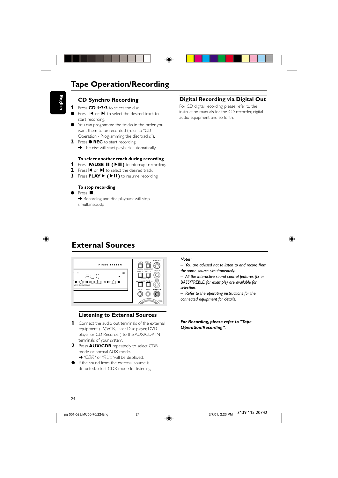

### **Tape Operation/Recording**

### **CD Synchro Recording**

**1** Press **CD 1•2•3** to select the disc.

**English**

- Press  $\blacksquare$  or  $\blacktriangleright$  to select the desired track to start recording.
- You can programme the tracks in the order you want them to be recorded (refer to "CD Operation - Programming the disc tracks").
- **2** Press **REC** to start recording. → The disc will start playback automatically.

#### **To select another track during recording**

- **1** Press **PAUSE II** ( $\blacktriangleright$ **II**) to interrupt recording.
- 2 Press  $\blacksquare$  or  $\blacksquare$  to select the desired track.
- **3** Press **PLAY** ► (►II) to resume recording.

#### **To stop recording**

Press ■ **→** Recording and disc playback will stop simultaneously.

#### **Digital Recording via Digital Out**

For CD digital recording, please refer to the instruction manuals for the CD recorder, digital audio equipment and so forth.



## **External Sources**



#### **Listening to External Sources**

- **1** Connect the audio out terminals of the external equipment (TV, VCR, Laser Disc player, DVD player or CD Recorder) to the AUX/CDR IN terminals of your system.
- **2** Press **AUX/CDR** repeatedly to select CDR mode or normal AUX mode. → "CDR" or "AUX"will be displayed.
- If the sound from the external source is distorted, select CDR mode for listening.

#### *Notes:*

- *You are advised not to listen to and record from the same source simultaneously.*
- *All the interactive sound control features (IS or BASS/TREBLE, for example) are available for*
- *selection.*
- *Refer to the operating instructions for the connected equipment for details.*

*For Recording, please refer to "Tape Operation/Recording".*



pg 001-029/MC50-70/22-Eng 3/4<br>
and 24 PM 24 PM 24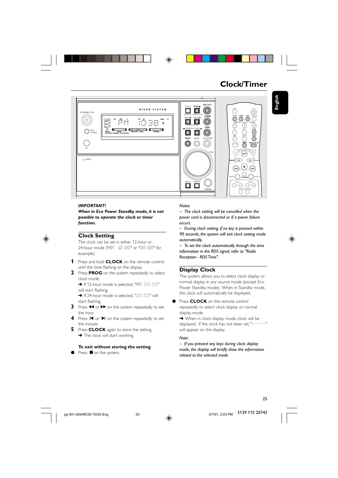

### **Clock/Timer**

**English**



#### *IMPORTANT!*

*When in Eco Power Standby mode, it is not possible to operate the clock or timer function.*



#### **Clock Setting**

The clock can be set in either 12-hour or 24-hour mode ("AM 12:00" or "00:00" for example)

- **1** Press and hold **CLOCK** on the remote control until the time flashing on the display.
- **2** Press **PROG** on the system repeatedly to select clock mode.
	- $\rightarrow$  If 12-hour mode is selected, "AM  $XX:XX"$ will start flashing.
	- $\rightarrow$  If 24-hour mode is selected, "XX:XX" will start flashing.
- **3** Press << or  $\blacktriangleright$  on the system repeatedly to set the hour.
- **4** Press **i** or ▶ on the system repeatedly to set the minute.
- **5** Press **CLOCK** again to store the setting. → The clock will start working.

#### **To exit without storing the setting**

Press **O** on the system.

#### *Notes:*

*– The clock setting will be cancelled when the power cord is disconnected or if a power failure occurs.*

*– During clock setting, if no key is pressed within 90 seconds, the system will exit clock setting mode automatically.*

*– To set the clock automatically through the time information in the RDS signal, refer to "Radio Reception - RDS Time".*

#### **Display Clock**

The system allows you to select clock display or normal display in any source mode (except Eco Power Standby mode). When in Standby mode, the clock will automatically be displayed.

**• Press CLOCK** on the remote control repeatedly to select clock display or normal display mode.

**→** When in clock display mode, clock will be displayed. If the clock has not been set, "-----" will appear on the display.

#### *Note:*

*– If you pressed any keys during clock display mode, the display will briefly show the information related to the selected mode.*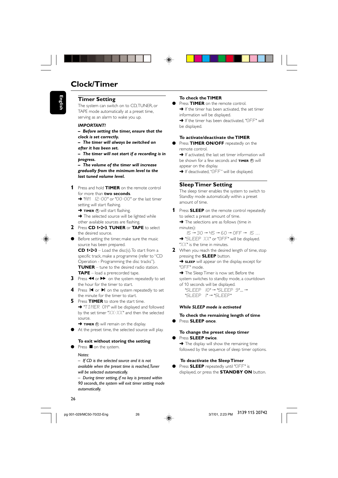### **Clock/Timer**

#### **Timer Setting**

The system can switch on to CD, TUNER, or TAPE mode automatically at a preset time, serving as an alarm to wake you up.

#### *IMPORTANT!*

- *Before setting the timer, ensure that the clock is set correctly.*
- *The timer will always be switched on after it has been set.*

*– The timer will not start if a recording is in progress.*

*– The volume of the timer will increase gradually from the minimum level to the last tuned volume level.*

**1** Press and hold **TIMER** on the remote control for more than **two seconds**.

→ "AM 12:00" or "00:00" or the last timer setting will start flashing.

→ **TIMER** 4) will start flashing.

→ The selected source will be lighted while other available sources are flashing.

- **2** Press **CD 1•2•3**, **TUNER** or **TAPE** to select the desired source.
- Before setting the timer, make sure the music source has been prepared.

**CD 1•2•3** – Load the disc(s). To start from a specific track, make a programme (refer to "CD Operation - Programming the disc tracks"). **TUNER** – tune to the desired radio station. **TAPE** – load a prerecorded tape.

- **3** Press à or á on the system repeatedly to set the hour for the timer to start.
- Press  $\blacksquare$  or  $\blacksquare$  on the system repeatedly to set the minute for the timer to start.

**5** Press **TIMER** to store the start time. → "TIMER ON" will be displayed and followed by the set timer "XX:XX" and then the selected source.

→ **TIMER**  $\oplus$  will remain on the display.

At the preset time, the selected source will play.

#### **To exit without storing the setting**  $\bullet$  Press  $\blacksquare$  on the system.

### *Notes:*

*– If CD is the selected source and it is not available when the preset time is reached, Tuner will be selected automatically.*

*– During timer setting, if no key is pressed within 90 seconds, the system will exit timer setting mode automatically.*

#### **To check the TIMER**

Press **TIMER** on the remote control. → If the timer has been activated, the set timer information will be displayed. → If the timer has been deactivated, "OFF" will

be displayed.

#### **To activate/deactivate the TIMER**

Press **TIMER ON/OFF** repeatedly on the remote control.

→ If activated, the last set timer information will be shown for a few seconds and **TIMER**  $\oplus$  will appear on the display.

→ If deactivated, "DFF" will be displayed.

#### **Sleep Timer Setting**

The sleep timer enables the system to switch to Standby mode automatically within a preset amount of time.

**1** Press **SLEEP** on the remote control repeatedly to select a preset amount of time.

→ The selections are as follows (time in minutes):

 $15 \rightarrow 30 \rightarrow 45 \rightarrow 60 \rightarrow 0$ FF  $\rightarrow 15 \dots$ → "SLEEP XX" or "OFF" will be displayed. "XX" is the time in minutes.

**2** When you reach the desired length of time, stop pressing the **SLEEP** button.

**→ SLEEP** will appear on the display, except for "OFF" mode.

**→** The Sleep Timer is now set. Before the

- system switches to standby mode, a countdown
- of 10 seconds will be displayed.

"SLEEP 10" → "SLEEP 9"... → "SLEEP  $I' \rightarrow "SLEEP"$ 

#### *While SLEEP mode is activated*

#### **To check the remaining length of time**

● Press **SLEEP once**.

#### **To change the preset sleep timer**

Press **SLEEP twice**. **→** The display will show the remaining time followed by the sequence of sleep timer options.

#### **To deactivate the Sleep Timer**

Press **SLEEP** repeatedly until "OFF" is displayed, or press the **STANDBY ON** button.

pg 001-029/MC50-70/22-Eng 3/7/01, 2:23 PM 26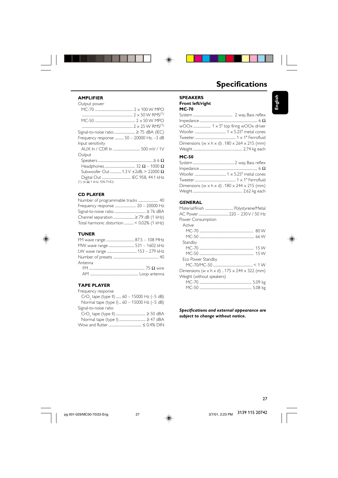

#### **AMPLIFIER**

| Output power                                     |
|--------------------------------------------------|
|                                                  |
|                                                  |
|                                                  |
|                                                  |
| Signal-to-noise ratio  ≥ 75 dBA (IEC)            |
| Frequency response  50 - 20000 Hz, -3 dB         |
| Input sensitivity                                |
|                                                  |
| Output                                           |
|                                                  |
|                                                  |
| Subwoofer Out  1.3 V $\pm$ 2dB. > 22000 $\Omega$ |
|                                                  |
| $(1)$ (6 $\Omega$ , 1 kHz, 10% THD)              |
|                                                  |

#### **CD PLAYER**

| Channel separation  ≥ 79 dB (1 kHz)      |
|------------------------------------------|
| Total harmonic distortion< 0.02% (1 kHz) |
|                                          |

### **TUNER**

◈

| Antenna |  |
|---------|--|
|         |  |
|         |  |

#### **TAPE PLAYER**

| Frequency response                                     |
|--------------------------------------------------------|
| CrO <sub>2</sub> tape (type II)  60 - 15000 Hz (-5 dB) |
| Normal tape (type I) 60 - 15000 Hz (-5 dB)             |
| Signal-to-noise ratio                                  |

## **Specifications**

**English**

| <b>SPEAKERS</b>  |
|------------------|
| Front left/right |

**MC-70**

 $\bigoplus$ 

| Dimensions (w $\times$ h $\times$ d) . 180 $\times$ 264 $\times$ 215 (mm) |
|---------------------------------------------------------------------------|
|                                                                           |
|                                                                           |

#### **MC-50**

| Dimensions (w $\times$ h $\times$ d) . 180 $\times$ 244 $\times$ 215 (mm) |
|---------------------------------------------------------------------------|
|                                                                           |

### **GENERAL**

| Power Consumption                                        |
|----------------------------------------------------------|
| Active                                                   |
|                                                          |
|                                                          |
| Standby                                                  |
|                                                          |
|                                                          |
| Eco Power Standby                                        |
|                                                          |
| Dimensions (w x h x d) $.175 \times 244 \times 322$ (mm) |
| Weight (without speakers)                                |
|                                                          |
|                                                          |
|                                                          |

#### *Specifications and external appearance are subject to change without notice.*

3/7/01, 2:23 PM 3139 115 20742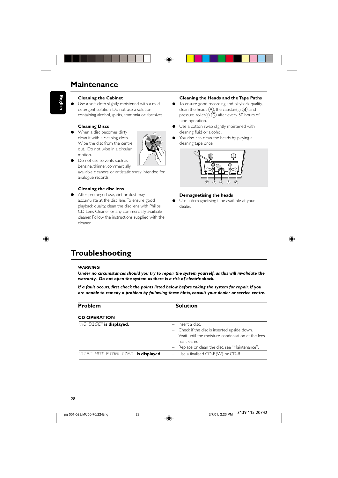### **Maintenance**

# **English**

#### **Cleaning the Cabinet**

Use a soft cloth slightly moistened with a mild detergent solution. Do not use a solution containing alcohol, spirits, ammonia or abrasives.

### **Cleaning Discs**

When a disc becomes dirty, clean it with a cleaning cloth. Wipe the disc from the centre out. Do not wipe in a circular motion.



Do not use solvents such as benzine, thinner, commercially available cleaners, or antistatic spray intended for analogue records.

#### **Cleaning the disc lens**

After prolonged use, dirt or dust may accumulate at the disc lens. To ensure good playback quality, clean the disc lens with Philips CD Lens Cleaner or any commercially available cleaner. Follow the instructions supplied with the cleaner.

#### **Cleaning the Heads and the Tape Paths**

- To ensure good recording and playback quality, clean the heads  $\overline{A}$ , the capstan(s)  $\overline{B}$ , and pressure roller(s)  $\overline{C}$  after every 50 hours of tape operation.
- $\bullet$  Use a cotton swab slightly moistened with cleaning fluid or alcohol.
- You also can clean the heads by playing a cleaning tape once.



#### **Demagnetising the heads**

Use a demagnetising tape available at your dealer.



## **Troubleshooting**

#### *WARNING*

*Under no circumstances should you try to repair the system yourself, as this will invalidate the warranty. Do not open the system as there is a risk of electric shock.*

*If a fault occurs, first check the points listed below before taking the system for repair. If you are unable to remedy a problem by following these hints, consult your dealer or service centre.*

| <b>Problem</b>                     | <b>Solution</b>                                                                                                                                                                             |
|------------------------------------|---------------------------------------------------------------------------------------------------------------------------------------------------------------------------------------------|
| <b>CD OPERATION</b>                |                                                                                                                                                                                             |
| "NO DISC" is displayed.            | $-$ Insert a disc.<br>- Check if the disc is inserted upside down.<br>- Wait until the moisture condensation at the lens<br>has cleared.<br>- Replace or clean the disc, see "Maintenance". |
| "DISC NOT FINALIZED" is displayed. | - Use a finalised CD-R(W) or CD-R.                                                                                                                                                          |

pg 001-029/MC50-70/22-Eng 3/7/02/01.